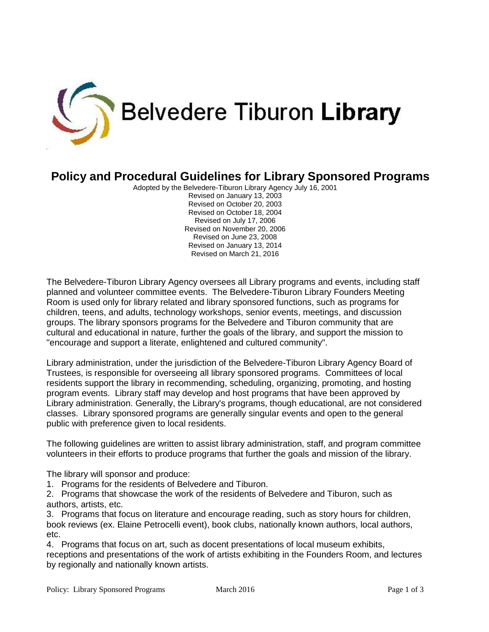

## **Policy and Procedural Guidelines for Library Sponsored Programs**

Adopted by the Belvedere-Tiburon Library Agency July 16, 2001 Revised on January 13, 2003 Revised on October 20, 2003 Revised on October 18, 2004 Revised on July 17, 2006 Revised on November 20, 2006 Revised on June 23, 2008 Revised on January 13, 2014 Revised on March 21, 2016

The Belvedere-Tiburon Library Agency oversees all Library programs and events, including staff planned and volunteer committee events. The Belvedere-Tiburon Library Founders Meeting Room is used only for library related and library sponsored functions, such as programs for children, teens, and adults, technology workshops, senior events, meetings, and discussion groups. The library sponsors programs for the Belvedere and Tiburon community that are cultural and educational in nature, further the goals of the library, and support the mission to "encourage and support a literate, enlightened and cultured community".

Library administration, under the jurisdiction of the Belvedere-Tiburon Library Agency Board of Trustees, is responsible for overseeing all library sponsored programs. Committees of local residents support the library in recommending, scheduling, organizing, promoting, and hosting program events. Library staff may develop and host programs that have been approved by Library administration. Generally, the Library's programs, though educational, are not considered classes. Library sponsored programs are generally singular events and open to the general public with preference given to local residents.

The following guidelines are written to assist library administration, staff, and program committee volunteers in their efforts to produce programs that further the goals and mission of the library.

The library will sponsor and produce:

1. Programs for the residents of Belvedere and Tiburon.

2. Programs that showcase the work of the residents of Belvedere and Tiburon, such as authors, artists, etc.

3. Programs that focus on literature and encourage reading, such as story hours for children, book reviews (ex. Elaine Petrocelli event), book clubs, nationally known authors, local authors, etc.

4. Programs that focus on art, such as docent presentations of local museum exhibits, receptions and presentations of the work of artists exhibiting in the Founders Room, and lectures by regionally and nationally known artists.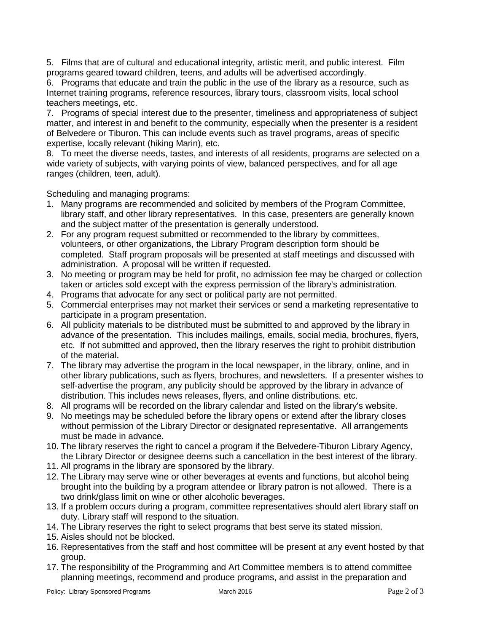5. Films that are of cultural and educational integrity, artistic merit, and public interest. Film programs geared toward children, teens, and adults will be advertised accordingly.

6. Programs that educate and train the public in the use of the library as a resource, such as Internet training programs, reference resources, library tours, classroom visits, local school teachers meetings, etc.

7. Programs of special interest due to the presenter, timeliness and appropriateness of subject matter, and interest in and benefit to the community, especially when the presenter is a resident of Belvedere or Tiburon. This can include events such as travel programs, areas of specific expertise, locally relevant (hiking Marin), etc.

8. To meet the diverse needs, tastes, and interests of all residents, programs are selected on a wide variety of subjects, with varying points of view, balanced perspectives, and for all age ranges (children, teen, adult).

Scheduling and managing programs:

- 1. Many programs are recommended and solicited by members of the Program Committee, library staff, and other library representatives. In this case, presenters are generally known and the subject matter of the presentation is generally understood.
- 2. For any program request submitted or recommended to the library by committees, volunteers, or other organizations, the Library Program description form should be completed. Staff program proposals will be presented at staff meetings and discussed with administration. A proposal will be written if requested.
- 3. No meeting or program may be held for profit, no admission fee may be charged or collection taken or articles sold except with the express permission of the library's administration.
- 4. Programs that advocate for any sect or political party are not permitted.
- 5. Commercial enterprises may not market their services or send a marketing representative to participate in a program presentation.
- 6. All publicity materials to be distributed must be submitted to and approved by the library in advance of the presentation. This includes mailings, emails, social media, brochures, flyers, etc. If not submitted and approved, then the library reserves the right to prohibit distribution of the material.
- 7. The library may advertise the program in the local newspaper, in the library, online, and in other library publications, such as flyers, brochures, and newsletters. If a presenter wishes to self-advertise the program, any publicity should be approved by the library in advance of distribution. This includes news releases, flyers, and online distributions. etc.
- 8. All programs will be recorded on the library calendar and listed on the library's website.
- 9. No meetings may be scheduled before the library opens or extend after the library closes without permission of the Library Director or designated representative. All arrangements must be made in advance.
- 10. The library reserves the right to cancel a program if the Belvedere-Tiburon Library Agency, the Library Director or designee deems such a cancellation in the best interest of the library.
- 11. All programs in the library are sponsored by the library.
- 12. The Library may serve wine or other beverages at events and functions, but alcohol being brought into the building by a program attendee or library patron is not allowed. There is a two drink/glass limit on wine or other alcoholic beverages.
- 13. If a problem occurs during a program, committee representatives should alert library staff on duty. Library staff will respond to the situation.
- 14. The Library reserves the right to select programs that best serve its stated mission.
- 15. Aisles should not be blocked.
- 16. Representatives from the staff and host committee will be present at any event hosted by that group.
- 17. The responsibility of the Programming and Art Committee members is to attend committee planning meetings, recommend and produce programs, and assist in the preparation and